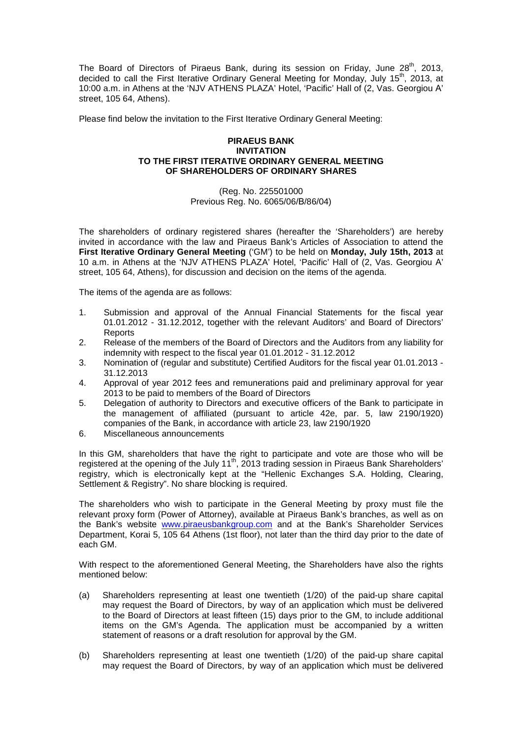The Board of Directors of Piraeus Bank, during its session on Friday, June  $28<sup>th</sup>$ , 2013, decided to call the First Iterative Ordinary General Meeting for Monday, July 15<sup>th</sup>, 2013, at 10:00 a.m. in Athens at the 'NJV ATHENS PLAZA' Hotel, 'Pacific' Hall of (2, Vas. Georgiou Α' street, 105 64, Athens).

Please find below the invitation to the First Iterative Ordinary General Meeting:

## **PIRAEUS BANK INVITATION TO THE FIRST ITERATIVE ORDINARY GENERAL MEETING OF SHAREHOLDERS OF ORDINARY SHARES**

## (Reg. No. 225501000 Previous Reg. No. 6065/06/Β/86/04)

The shareholders of ordinary registered shares (hereafter the 'Shareholders') are hereby invited in accordance with the law and Piraeus Bank's Articles of Association to attend the **First Iterative Ordinary General Meeting** ('GM') to be held on **Monday, July 15th, 2013** at 10 a.m. in Athens at the 'NJV ATHENS PLAZA' Hotel, 'Pacific' Hall of (2, Vas. Georgiou Α' street, 105 64, Athens), for discussion and decision on the items of the agenda.

The items of the agenda are as follows:

- 1. Submission and approval of the Annual Financial Statements for the fiscal year 01.01.2012 - 31.12.2012, together with the relevant Auditors' and Board of Directors' **Reports**
- 2. Release of the members of the Board of Directors and the Auditors from any liability for indemnity with respect to the fiscal year 01.01.2012 - 31.12.2012
- 3. Nomination of (regular and substitute) Certified Auditors for the fiscal year 01.01.2013 31.12.2013
- 4. Approval of year 2012 fees and remunerations paid and preliminary approval for year 2013 to be paid to members of the Board of Directors
- 5. Delegation of authority to Directors and executive officers of the Bank to participate in the management of affiliated (pursuant to article 42e, par. 5, law 2190/1920) companies of the Bank, in accordance with article 23, law 2190/1920
- 6. Miscellaneous announcements

In this GM, shareholders that have the right to participate and vote are those who will be registered at the opening of the July 11<sup>th</sup>, 2013 trading session in Piraeus Bank Shareholders' registry, which is electronically kept at the "Hellenic Exchanges S.A. Holding, Clearing, Settlement & Registry". No share blocking is required.

The shareholders who wish to participate in the General Meeting by proxy must file the relevant proxy form (Power of Attorney), available at Piraeus Bank's branches, as well as on the Bank's website www.piraeusbankgroup.com and at the Bank's Shareholder Services Department, Korai 5, 105 64 Athens (1st floor), not later than the third day prior to the date of each GM.

With respect to the aforementioned General Meeting, the Shareholders have also the rights mentioned below:

- (a) Shareholders representing at least one twentieth (1/20) of the paid-up share capital may request the Board of Directors, by way of an application which must be delivered to the Board of Directors at least fifteen (15) days prior to the GM, to include additional items on the GM's Agenda. The application must be accompanied by a written statement of reasons or a draft resolution for approval by the GM.
- (b) Shareholders representing at least one twentieth (1/20) of the paid-up share capital may request the Board of Directors, by way of an application which must be delivered